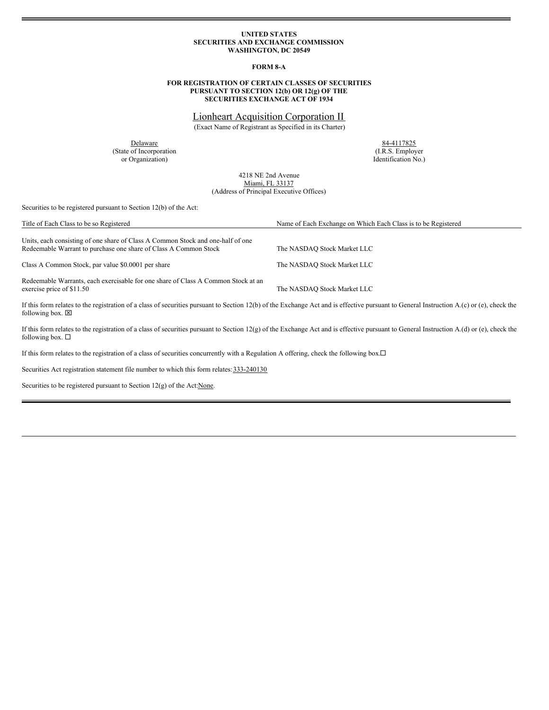### **UNITED STATES SECURITIES AND EXCHANGE COMMISSION WASHINGTON, DC 20549**

#### **FORM 8-A**

### **FOR REGISTRATION OF CERTAIN CLASSES OF SECURITIES PURSUANT TO SECTION 12(b) OR 12(g) OF THE SECURITIES EXCHANGE ACT OF 1934**

Lionheart Acquisition Corporation II (Exact Name of Registrant as Specified in its Charter)

(State of Incorporation (I.R.S. Employer or Organization) (I.R.S. Employer

Delaware 84-4117825  $I$ dentification  $N$ o.)

> 4218 NE 2nd Avenue Miami, FL 33137 (Address of Principal Executive Offices)

Securities to be registered pursuant to Section 12(b) of the Act:

| Title of Each Class to be so Registered                                                                                                             | Name of Each Exchange on Which Each Class is to be Registered |
|-----------------------------------------------------------------------------------------------------------------------------------------------------|---------------------------------------------------------------|
| Units, each consisting of one share of Class A Common Stock and one-half of one<br>Redeemable Warrant to purchase one share of Class A Common Stock | The NASDAO Stock Market LLC                                   |
| Class A Common Stock, par value \$0.0001 per share                                                                                                  | The NASDAO Stock Market LLC                                   |
| Redeemable Warrants, each exercisable for one share of Class A Common Stock at an<br>exercise price of \$11.50                                      | The NASDAQ Stock Market LLC                                   |

If this form relates to the registration of a class of securities pursuant to Section 12(b) of the Exchange Act and is effective pursuant to General Instruction A.(c) or (e), check the following box.  $\boxtimes$ 

If this form relates to the registration of a class of securities pursuant to Section 12(g) of the Exchange Act and is effective pursuant to General Instruction A.(d) or (e), check the following box.  $\Box$ 

If this form relates to the registration of a class of securities concurrently with a Regulation A offering, check the following box.<sup>[]</sup>

Securities Act registration statement file number to which this form relates: 333-240130

Securities to be registered pursuant to Section 12(g) of the Act: None.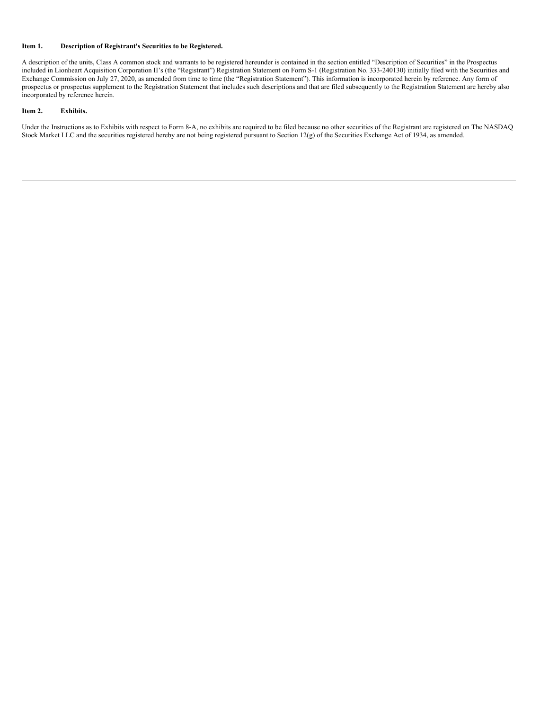### **Item 1. Description of Registrant's Securities to be Registered.**

A description of the units, Class A common stock and warrants to be registered hereunder is contained in the section entitled "Description of Securities" in the Prospectus included in Lionheart Acquisition Corporation II's (the "Registrant") Registration Statement on Form S-1 (Registration No. 333-240130) initially filed with the Securities and Exchange Commission on July 27, 2020, as amended from time to time (the "Registration Statement"). This information is incorporated herein by reference. Any form of prospectus or prospectus supplement to the Registration Statement that includes such descriptions and that are filed subsequently to the Registration Statement are hereby also incorporated by reference herein.

### **Item 2. Exhibits.**

Under the Instructions as to Exhibits with respect to Form 8-A, no exhibits are required to be filed because no other securities of the Registrant are registered on The NASDAQ Stock Market LLC and the securities registered hereby are not being registered pursuant to Section 12(g) of the Securities Exchange Act of 1934, as amended.